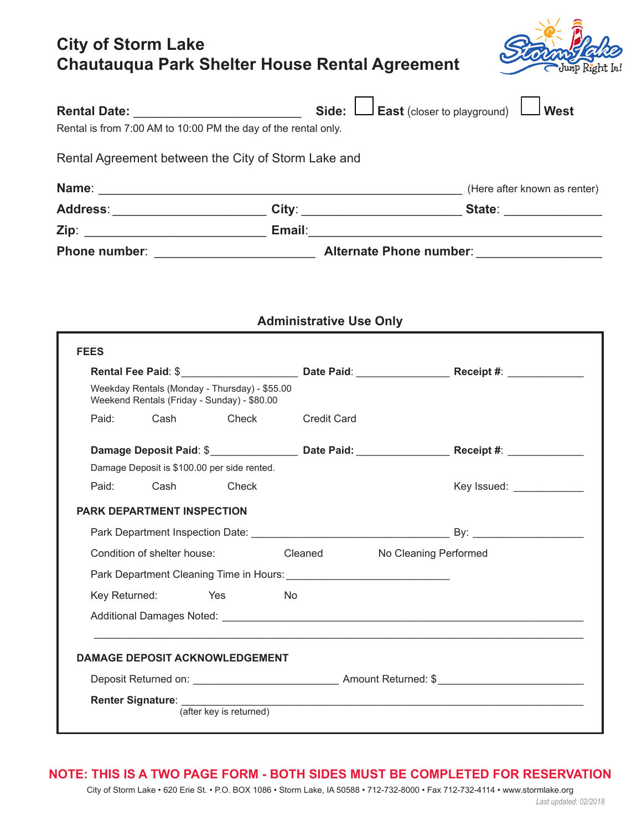## **City of Storm Lake Chautauqua Park Shelter House Rental Agreement**



|                                               |                                                                  | Address:__________________________City:________________________State: ________________                      |
|-----------------------------------------------|------------------------------------------------------------------|-------------------------------------------------------------------------------------------------------------|
|                                               |                                                                  |                                                                                                             |
|                                               |                                                                  |                                                                                                             |
|                                               | <b>Administrative Use Only</b>                                   |                                                                                                             |
| <b>FEES</b>                                   |                                                                  |                                                                                                             |
| Weekday Rentals (Monday - Thursday) - \$55.00 |                                                                  |                                                                                                             |
|                                               |                                                                  |                                                                                                             |
| Weekend Rentals (Friday - Sunday) - \$80.00   |                                                                  |                                                                                                             |
| Paid: $\Box$ Cash $\Box$ Check                | $\Box$ Credit Card                                               |                                                                                                             |
|                                               |                                                                  | Damage Deposit Paid: \$______________________Date Paid: _________________________Receipt #: _______________ |
| Damage Deposit is \$100.00 per side rented.   |                                                                  |                                                                                                             |
| $\Box$ Cash<br>Paid:                          | $\Box$ Check                                                     | Key Issued: ______________                                                                                  |
| <b>PARK DEPARTMENT INSPECTION</b>             |                                                                  |                                                                                                             |
|                                               |                                                                  |                                                                                                             |
|                                               | Condition of shelter house:<br>□ Cleaned □ No Cleaning Performed |                                                                                                             |
|                                               |                                                                  |                                                                                                             |
| $\Box$ Yes<br>Key Returned:                   | $\Box$ No                                                        |                                                                                                             |

## **NOTE: THIS IS A TWO PAGE FORM - BOTH SIDES MUST BE COMPLETED FOR RESERVATION**

City of Storm Lake • 620 Erie St. • P.O. BOX 1086 • Storm Lake, IA 50588 • 712-732-8000 • Fax 712-732-4114 • www.stormlake.org *Last updated: 02/2018*